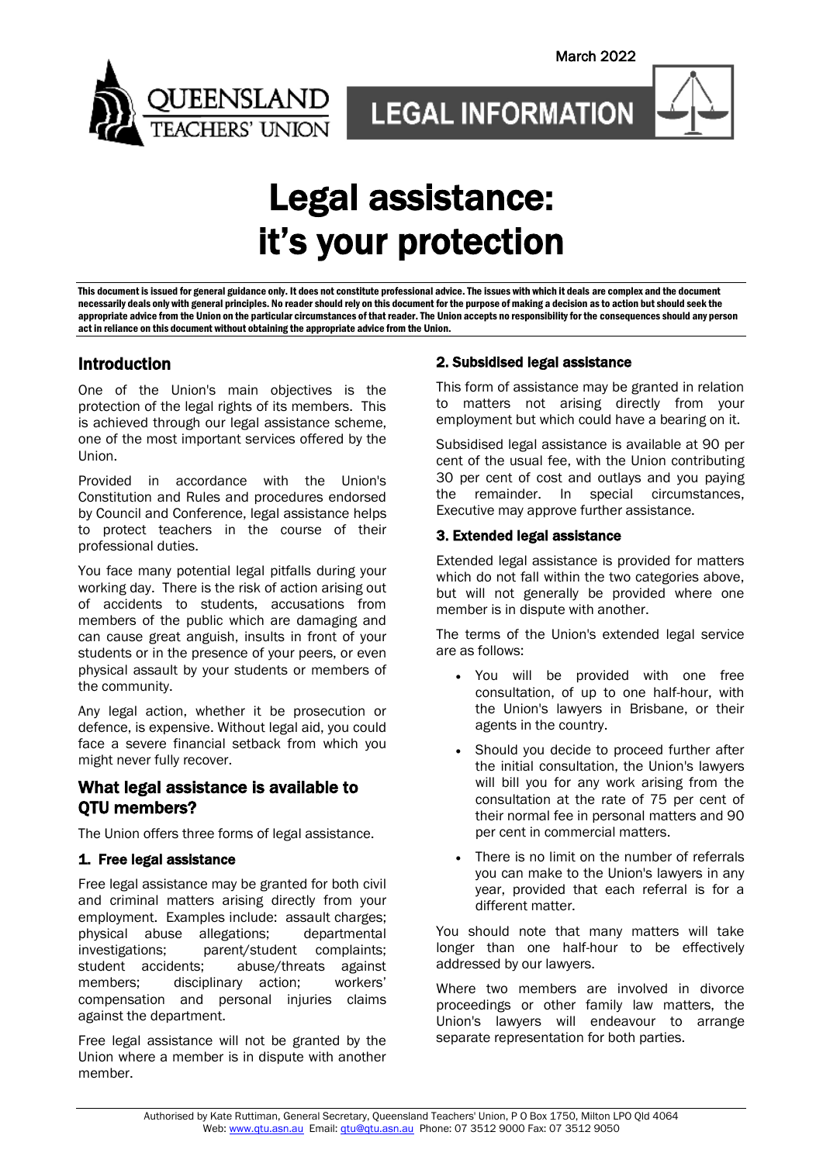

# Legal assistance: it's your protection

This document is issued for general guidance only. It does not constitute professional advice. The issues with which it deals are complex and the document necessarily deals only with general principles. No reader should rely on this document for the purpose of making a decision as to action but should seek the appropriate advice from the Union on the particular circumstances of that reader. The Union accepts no responsibility for the consequences should any person act in reliance on this document without obtaining the appropriate advice from the Union.

# Introduction

One of the Union's main objectives is the protection of the legal rights of its members. This is achieved through our legal assistance scheme, one of the most important services offered by the Union.

Provided in accordance with the Union's Constitution and Rules and procedures endorsed by Council and Conference, legal assistance helps to protect teachers in the course of their professional duties.

You face many potential legal pitfalls during your working day. There is the risk of action arising out of accidents to students, accusations from members of the public which are damaging and can cause great anguish, insults in front of your students or in the presence of your peers, or even physical assault by your students or members of the community.

Any legal action, whether it be prosecution or defence, is expensive. Without legal aid, you could face a severe financial setback from which you might never fully recover.

# What legal assistance is available to QTU members?

The Union offers three forms of legal assistance.

#### 1. Free legal assistance

Free legal assistance may be granted for both civil and criminal matters arising directly from your employment. Examples include: assault charges; physical abuse allegations; departmental investigations; parent/student complaints; student accidents; abuse/threats against members; disciplinary action; workers' compensation and personal injuries claims against the department.

Free legal assistance will not be granted by the Union where a member is in dispute with another member.

### 2. Subsidised legal assistance

This form of assistance may be granted in relation to matters not arising directly from your employment but which could have a bearing on it.

Subsidised legal assistance is available at 90 per cent of the usual fee, with the Union contributing 30 per cent of cost and outlays and you paying the remainder. In special circumstances, Executive may approve further assistance.

#### 3. Extended legal assistance

Extended legal assistance is provided for matters which do not fall within the two categories above, but will not generally be provided where one member is in dispute with another.

The terms of the Union's extended legal service are as follows:

- You will be provided with one free consultation, of up to one half-hour, with the Union's lawyers in Brisbane, or their agents in the country.
- Should you decide to proceed further after the initial consultation, the Union's lawyers will bill you for any work arising from the consultation at the rate of 75 per cent of their normal fee in personal matters and 90 per cent in commercial matters.
- There is no limit on the number of referrals you can make to the Union's lawyers in any year, provided that each referral is for a different matter.

You should note that many matters will take longer than one half-hour to be effectively addressed by our lawyers.

Where two members are involved in divorce proceedings or other family law matters, the Union's lawyers will endeavour to arrange separate representation for both parties.